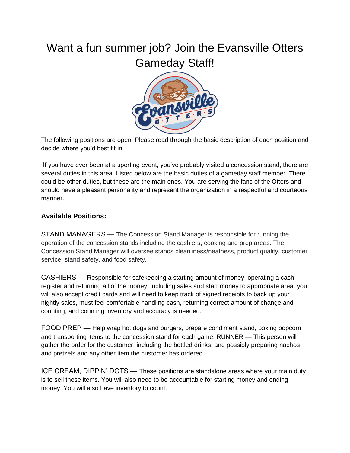## Want a fun summer job? Join the Evansville Otters Gameday Staff!



The following positions are open. Please read through the basic description of each position and decide where you'd best fit in.

If you have ever been at a sporting event, you've probably visited a concession stand, there are several duties in this area. Listed below are the basic duties of a gameday staff member. There could be other duties, but these are the main ones. You are serving the fans of the Otters and should have a pleasant personality and represent the organization in a respectful and courteous manner.

## **Available Positions:**

STAND MANAGERS — The Concession Stand Manager is responsible for running the operation of the concession stands including the cashiers, cooking and prep areas. The Concession Stand Manager will oversee stands cleanliness/neatness, product quality, customer service, stand safety, and food safety.

CASHIERS — Responsible for safekeeping a starting amount of money, operating a cash register and returning all of the money, including sales and start money to appropriate area, you will also accept credit cards and will need to keep track of signed receipts to back up your nightly sales, must feel comfortable handling cash, returning correct amount of change and counting, and counting inventory and accuracy is needed.

FOOD PREP — Help wrap hot dogs and burgers, prepare condiment stand, boxing popcorn, and transporting items to the concession stand for each game. RUNNER — This person will gather the order for the customer, including the bottled drinks, and possibly preparing nachos and pretzels and any other item the customer has ordered.

ICE CREAM, DIPPIN' DOTS — These positions are standalone areas where your main duty is to sell these items. You will also need to be accountable for starting money and ending money. You will also have inventory to count.